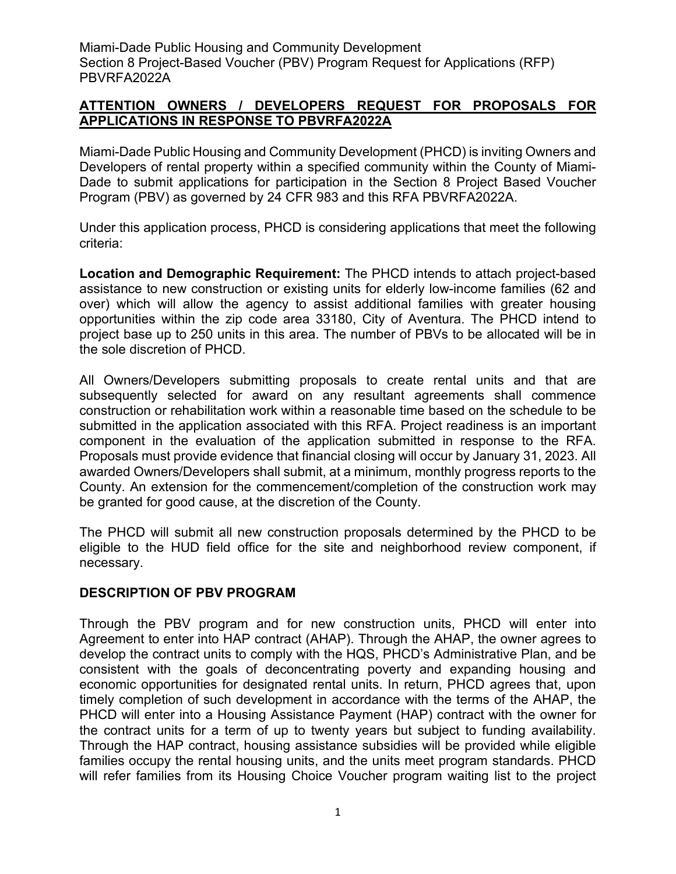### **ATTENTION OWNERS / DEVELOPERS REQUEST FOR PROPOSALS FOR APPLICATIONS IN RESPONSE TO PBVRFA2022A**

Miami-Dade Public Housing and Community Development (PHCD) is inviting Owners and Developers of rental property within a specified community within the County of Miami-Dade to submit applications for participation in the Section 8 Project Based Voucher Program (PBV) as governed by 24 CFR 983 and this RFA PBVRFA2022A.

Under this application process, PHCD is considering applications that meet the following criteria:

**Location and Demographic Requirement:** The PHCD intends to attach project-based assistance to new construction or existing units for elderly low-income families (62 and over) which will allow the agency to assist additional families with greater housing opportunities within the zip code area 33180, City of Aventura. The PHCD intend to project base up to 250 units in this area. The number of PBVs to be allocated will be in the sole discretion of PHCD.

All Owners/Developers submitting proposals to create rental units and that are subsequently selected for award on any resultant agreements shall commence construction or rehabilitation work within a reasonable time based on the schedule to be submitted in the application associated with this RFA. Project readiness is an important component in the evaluation of the application submitted in response to the RFA. Proposals must provide evidence that financial closing will occur by January 31, 2023. All awarded Owners/Developers shall submit, at a minimum, monthly progress reports to the County. An extension for the commencement/completion of the construction work may be granted for good cause, at the discretion of the County.

The PHCD will submit all new construction proposals determined by the PHCD to be eligible to the HUD field office for the site and neighborhood review component, if necessary.

### **DESCRIPTION OF PBV PROGRAM**

Through the PBV program and for new construction units, PHCD will enter into Agreement to enter into HAP contract (AHAP). Through the AHAP, the owner agrees to develop the contract units to comply with the HQS, PHCD's Administrative Plan, and be consistent with the goals of deconcentrating poverty and expanding housing and economic opportunities for designated rental units. In return, PHCD agrees that, upon timely completion of such development in accordance with the terms of the AHAP, the PHCD will enter into a Housing Assistance Payment (HAP) contract with the owner for the contract units for a term of up to twenty years but subject to funding availability. Through the HAP contract, housing assistance subsidies will be provided while eligible families occupy the rental housing units, and the units meet program standards. PHCD will refer families from its Housing Choice Voucher program waiting list to the project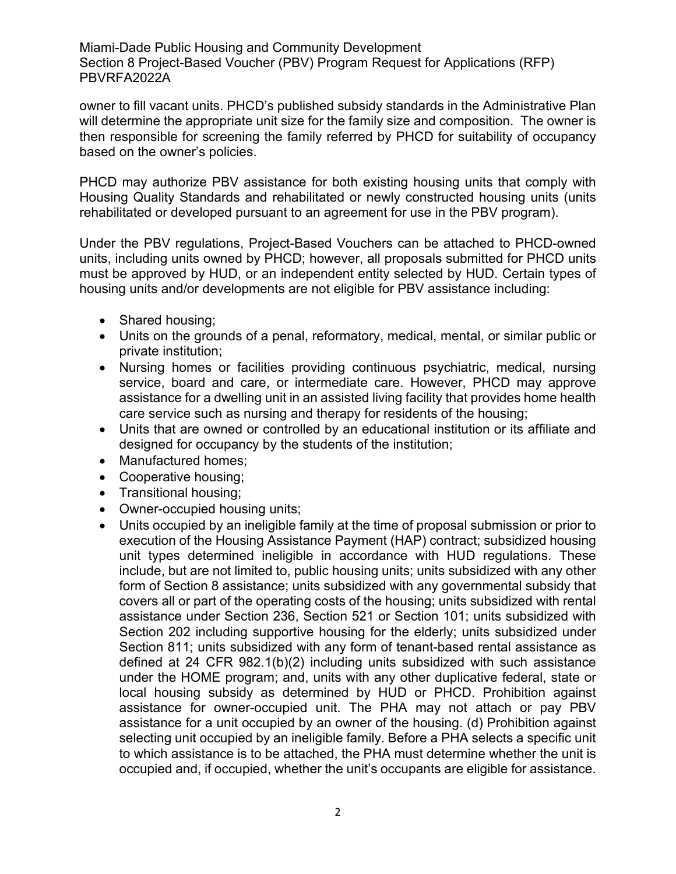owner to fill vacant units. PHCD's published subsidy standards in the Administrative Plan will determine the appropriate unit size for the family size and composition. The owner is then responsible for screening the family referred by PHCD for suitability of occupancy based on the owner's policies.

PHCD may authorize PBV assistance for both existing housing units that comply with Housing Quality Standards and rehabilitated or newly constructed housing units (units rehabilitated or developed pursuant to an agreement for use in the PBV program).

Under the PBV regulations, Project-Based Vouchers can be attached to PHCD-owned units, including units owned by PHCD; however, all proposals submitted for PHCD units must be approved by HUD, or an independent entity selected by HUD. Certain types of housing units and/or developments are not eligible for PBV assistance including:

- Shared housing;
- Units on the grounds of a penal, reformatory, medical, mental, or similar public or private institution;
- Nursing homes or facilities providing continuous psychiatric, medical, nursing service, board and care, or intermediate care. However, PHCD may approve assistance for a dwelling unit in an assisted living facility that provides home health care service such as nursing and therapy for residents of the housing;
- Units that are owned or controlled by an educational institution or its affiliate and designed for occupancy by the students of the institution;
- Manufactured homes;
- Cooperative housing;
- Transitional housing;
- Owner-occupied housing units:
- Units occupied by an ineligible family at the time of proposal submission or prior to execution of the Housing Assistance Payment (HAP) contract; subsidized housing unit types determined ineligible in accordance with HUD regulations. These include, but are not limited to, public housing units; units subsidized with any other form of Section 8 assistance; units subsidized with any governmental subsidy that covers all or part of the operating costs of the housing; units subsidized with rental assistance under Section 236, Section 521 or Section 101; units subsidized with Section 202 including supportive housing for the elderly; units subsidized under Section 811; units subsidized with any form of tenant-based rental assistance as defined at 24 CFR 982.1(b)(2) including units subsidized with such assistance under the HOME program; and, units with any other duplicative federal, state or local housing subsidy as determined by HUD or PHCD. Prohibition against assistance for owner-occupied unit. The PHA may not attach or pay PBV assistance for a unit occupied by an owner of the housing. (d) Prohibition against selecting unit occupied by an ineligible family. Before a PHA selects a specific unit to which assistance is to be attached, the PHA must determine whether the unit is occupied and, if occupied, whether the unit's occupants are eligible for assistance.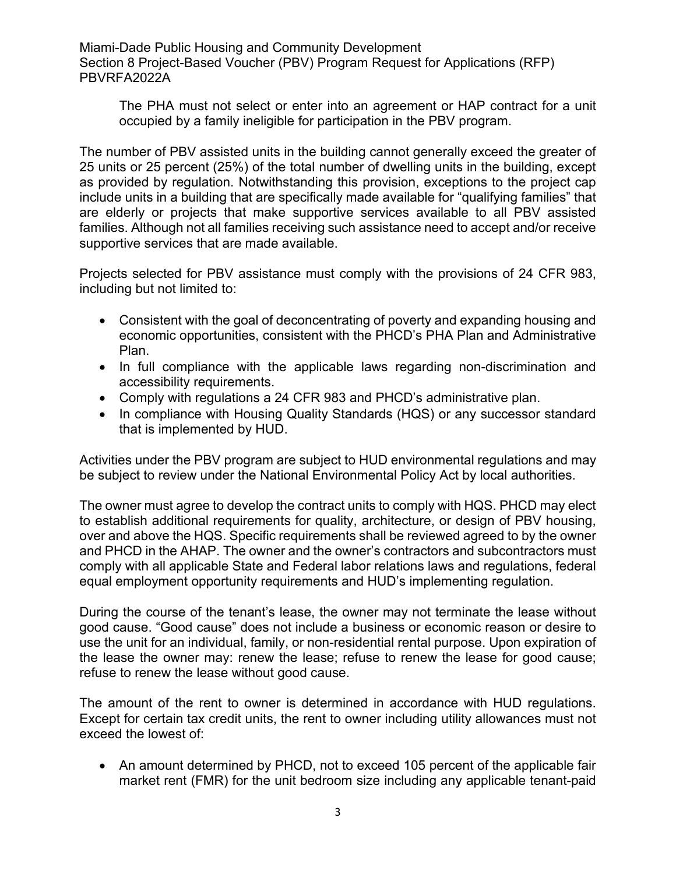The PHA must not select or enter into an agreement or HAP contract for a unit occupied by a family ineligible for participation in the PBV program.

The number of PBV assisted units in the building cannot generally exceed the greater of 25 units or 25 percent (25%) of the total number of dwelling units in the building, except as provided by regulation. Notwithstanding this provision, exceptions to the project cap include units in a building that are specifically made available for "qualifying families" that are elderly or projects that make supportive services available to all PBV assisted families. Although not all families receiving such assistance need to accept and/or receive supportive services that are made available.

Projects selected for PBV assistance must comply with the provisions of 24 CFR 983, including but not limited to:

- Consistent with the goal of deconcentrating of poverty and expanding housing and economic opportunities, consistent with the PHCD's PHA Plan and Administrative Plan.
- In full compliance with the applicable laws regarding non-discrimination and accessibility requirements.
- Comply with regulations a 24 CFR 983 and PHCD's administrative plan.
- In compliance with Housing Quality Standards (HQS) or any successor standard that is implemented by HUD.

Activities under the PBV program are subject to HUD environmental regulations and may be subject to review under the National Environmental Policy Act by local authorities.

The owner must agree to develop the contract units to comply with HQS. PHCD may elect to establish additional requirements for quality, architecture, or design of PBV housing, over and above the HQS. Specific requirements shall be reviewed agreed to by the owner and PHCD in the AHAP. The owner and the owner's contractors and subcontractors must comply with all applicable State and Federal labor relations laws and regulations, federal equal employment opportunity requirements and HUD's implementing regulation.

During the course of the tenant's lease, the owner may not terminate the lease without good cause. "Good cause" does not include a business or economic reason or desire to use the unit for an individual, family, or non-residential rental purpose. Upon expiration of the lease the owner may: renew the lease; refuse to renew the lease for good cause; refuse to renew the lease without good cause.

The amount of the rent to owner is determined in accordance with HUD regulations. Except for certain tax credit units, the rent to owner including utility allowances must not exceed the lowest of:

• An amount determined by PHCD, not to exceed 105 percent of the applicable fair market rent (FMR) for the unit bedroom size including any applicable tenant-paid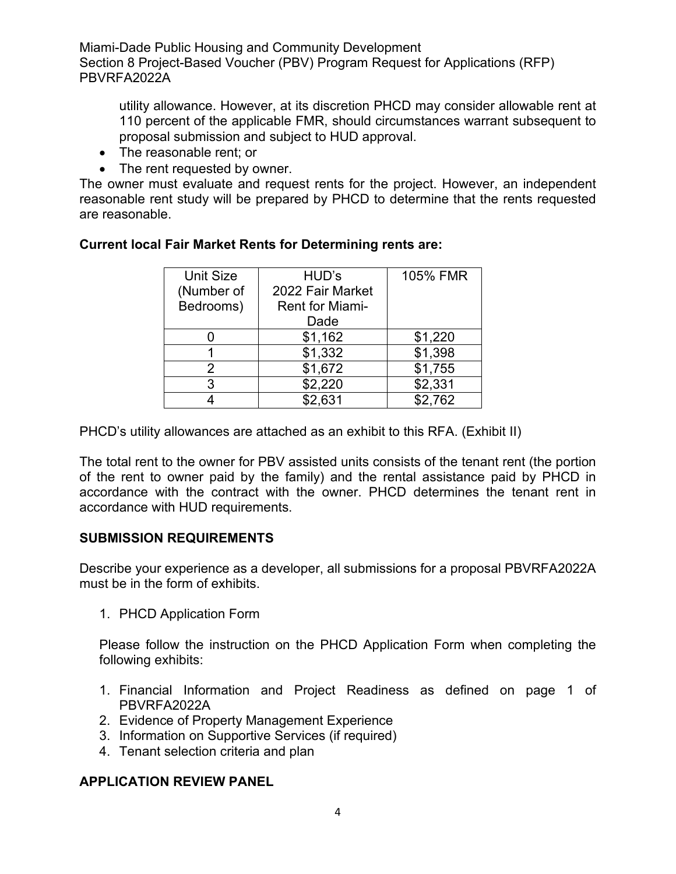utility allowance. However, at its discretion PHCD may consider allowable rent at 110 percent of the applicable FMR, should circumstances warrant subsequent to proposal submission and subject to HUD approval.

- The reasonable rent; or
- The rent requested by owner.

The owner must evaluate and request rents for the project. However, an independent reasonable rent study will be prepared by PHCD to determine that the rents requested are reasonable.

| <b>Unit Size</b> | HUD's                  | 105% FMR |
|------------------|------------------------|----------|
| (Number of       | 2022 Fair Market       |          |
| Bedrooms)        | <b>Rent for Miami-</b> |          |
|                  | Dade                   |          |
|                  | \$1,162                | \$1,220  |
|                  | \$1,332                | \$1,398  |
| 2                | \$1,672                | \$1,755  |
| 3                | \$2,220                | \$2,331  |
|                  | \$2,631                | \$2,762  |

### **Current local Fair Market Rents for Determining rents are:**

PHCD's utility allowances are attached as an exhibit to this RFA. (Exhibit II)

The total rent to the owner for PBV assisted units consists of the tenant rent (the portion of the rent to owner paid by the family) and the rental assistance paid by PHCD in accordance with the contract with the owner. PHCD determines the tenant rent in accordance with HUD requirements.

### **SUBMISSION REQUIREMENTS**

Describe your experience as a developer, all submissions for a proposal PBVRFA2022A must be in the form of exhibits.

1. PHCD Application Form

Please follow the instruction on the PHCD Application Form when completing the following exhibits:

- 1. Financial Information and Project Readiness as defined on page 1 of PBVRFA2022A
- 2. Evidence of Property Management Experience
- 3. Information on Supportive Services (if required)
- 4. Tenant selection criteria and plan

### **APPLICATION REVIEW PANEL**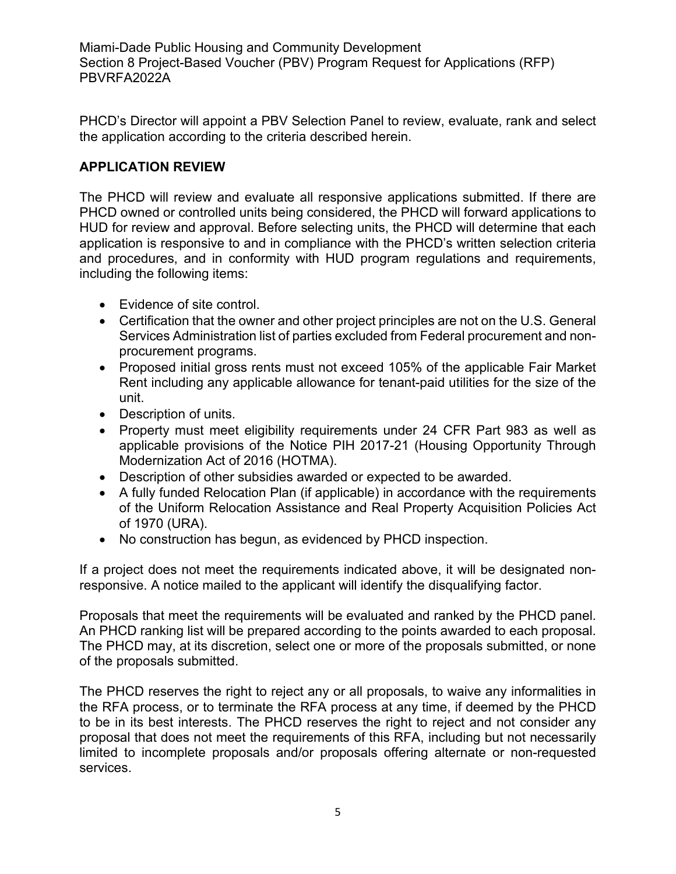PHCD's Director will appoint a PBV Selection Panel to review, evaluate, rank and select the application according to the criteria described herein.

# **APPLICATION REVIEW**

The PHCD will review and evaluate all responsive applications submitted. If there are PHCD owned or controlled units being considered, the PHCD will forward applications to HUD for review and approval. Before selecting units, the PHCD will determine that each application is responsive to and in compliance with the PHCD's written selection criteria and procedures, and in conformity with HUD program regulations and requirements, including the following items:

- Evidence of site control.
- Certification that the owner and other project principles are not on the U.S. General Services Administration list of parties excluded from Federal procurement and nonprocurement programs.
- Proposed initial gross rents must not exceed 105% of the applicable Fair Market Rent including any applicable allowance for tenant-paid utilities for the size of the unit.
- Description of units.
- Property must meet eligibility requirements under 24 CFR Part 983 as well as applicable provisions of the Notice PIH 2017-21 (Housing Opportunity Through Modernization Act of 2016 (HOTMA).
- Description of other subsidies awarded or expected to be awarded.
- A fully funded Relocation Plan (if applicable) in accordance with the requirements of the Uniform Relocation Assistance and Real Property Acquisition Policies Act of 1970 (URA).
- No construction has begun, as evidenced by PHCD inspection.

If a project does not meet the requirements indicated above, it will be designated nonresponsive. A notice mailed to the applicant will identify the disqualifying factor.

Proposals that meet the requirements will be evaluated and ranked by the PHCD panel. An PHCD ranking list will be prepared according to the points awarded to each proposal. The PHCD may, at its discretion, select one or more of the proposals submitted, or none of the proposals submitted.

The PHCD reserves the right to reject any or all proposals, to waive any informalities in the RFA process, or to terminate the RFA process at any time, if deemed by the PHCD to be in its best interests. The PHCD reserves the right to reject and not consider any proposal that does not meet the requirements of this RFA, including but not necessarily limited to incomplete proposals and/or proposals offering alternate or non-requested services.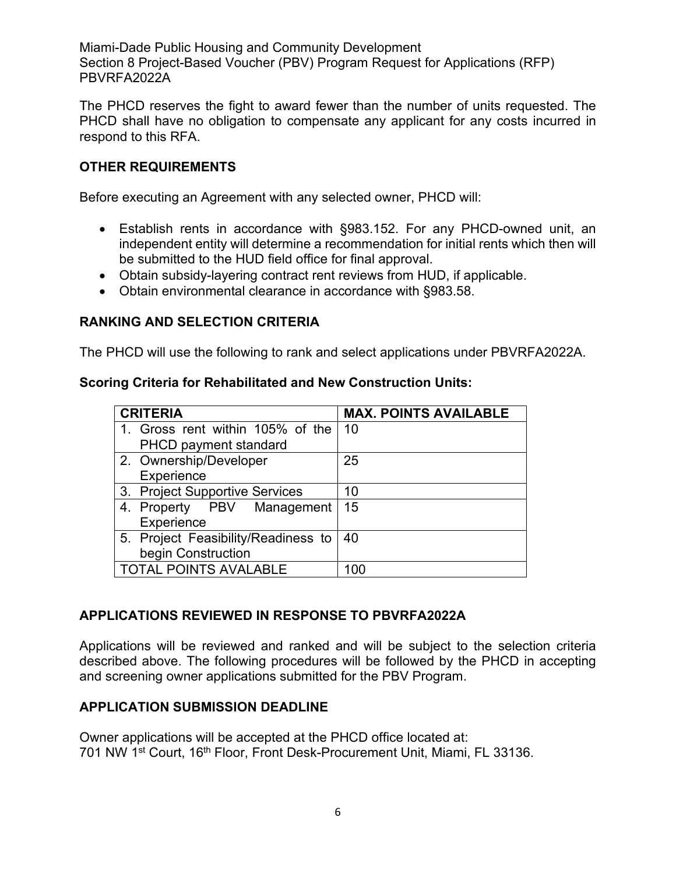The PHCD reserves the fight to award fewer than the number of units requested. The PHCD shall have no obligation to compensate any applicant for any costs incurred in respond to this RFA.

### **OTHER REQUIREMENTS**

Before executing an Agreement with any selected owner, PHCD will:

- Establish rents in accordance with §983.152. For any PHCD-owned unit, an independent entity will determine a recommendation for initial rents which then will be submitted to the HUD field office for final approval.
- Obtain subsidy-layering contract rent reviews from HUD, if applicable.
- Obtain environmental clearance in accordance with §983.58.

# **RANKING AND SELECTION CRITERIA**

The PHCD will use the following to rank and select applications under PBVRFA2022A.

### **Scoring Criteria for Rehabilitated and New Construction Units:**

| <b>CRITERIA</b>                     | <b>MAX. POINTS AVAILABLE</b> |
|-------------------------------------|------------------------------|
| 1. Gross rent within 105% of the    | -10                          |
| PHCD payment standard               |                              |
| 2. Ownership/Developer              | 25                           |
| Experience                          |                              |
| 3. Project Supportive Services      | 10                           |
| 4. Property PBV Management          | 15                           |
| Experience                          |                              |
| 5. Project Feasibility/Readiness to | 40                           |
| begin Construction                  |                              |
| <b>TOTAL POINTS AVALABLE</b>        | 100                          |

### **APPLICATIONS REVIEWED IN RESPONSE TO PBVRFA2022A**

Applications will be reviewed and ranked and will be subject to the selection criteria described above. The following procedures will be followed by the PHCD in accepting and screening owner applications submitted for the PBV Program.

### **APPLICATION SUBMISSION DEADLINE**

Owner applications will be accepted at the PHCD office located at: 701 NW 1<sup>st</sup> Court, 16<sup>th</sup> Floor, Front Desk-Procurement Unit, Miami, FL 33136.